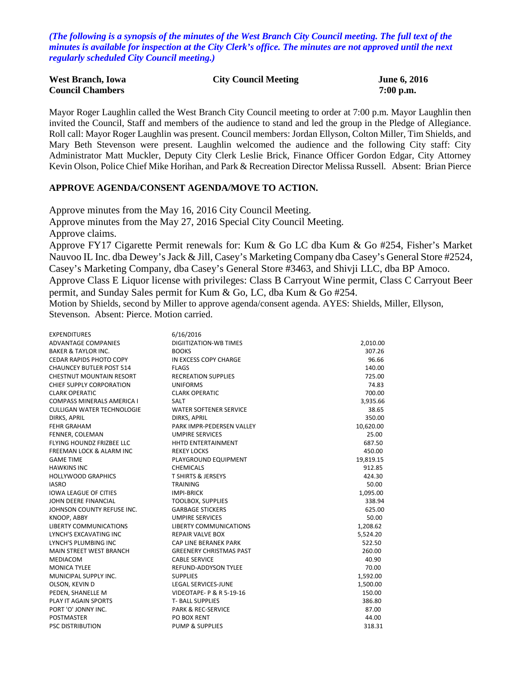*(The following is a synopsis of the minutes of the West Branch City Council meeting. The full text of the minutes is available for inspection at the City Clerk's office. The minutes are not approved until the next regularly scheduled City Council meeting.)*

| <b>West Branch, Iowa</b> | <b>City Council Meeting</b> | <b>June 6, 2016</b> |
|--------------------------|-----------------------------|---------------------|
| <b>Council Chambers</b>  |                             | $7:00$ p.m.         |

Mayor Roger Laughlin called the West Branch City Council meeting to order at 7:00 p.m. Mayor Laughlin then invited the Council, Staff and members of the audience to stand and led the group in the Pledge of Allegiance. Roll call: Mayor Roger Laughlin was present. Council members: Jordan Ellyson, Colton Miller, Tim Shields, and Mary Beth Stevenson were present. Laughlin welcomed the audience and the following City staff: City Administrator Matt Muckler, Deputy City Clerk Leslie Brick, Finance Officer Gordon Edgar, City Attorney Kevin Olson, Police Chief Mike Horihan, and Park & Recreation Director Melissa Russell. Absent: Brian Pierce

#### **APPROVE AGENDA/CONSENT AGENDA/MOVE TO ACTION.**

Approve minutes from the May 16, 2016 City Council Meeting.

Approve minutes from the May 27, 2016 Special City Council Meeting.

Approve claims.

Approve FY17 Cigarette Permit renewals for: Kum & Go LC dba Kum & Go #254, Fisher's Market Nauvoo IL Inc. dba Dewey's Jack & Jill, Casey's Marketing Company dba Casey's General Store #2524, Casey's Marketing Company, dba Casey's General Store #3463, and Shivji LLC, dba BP Amoco. Approve Class E Liquor license with privileges: Class B Carryout Wine permit, Class C Carryout Beer permit, and Sunday Sales permit for Kum & Go, LC, dba Kum & Go #254.

Motion by Shields, second by Miller to approve agenda/consent agenda. AYES: Shields, Miller, Ellyson, Stevenson. Absent: Pierce. Motion carried.

| <b>EXPENDITURES</b>                 | 6/16/2016                      |           |
|-------------------------------------|--------------------------------|-----------|
| <b>ADVANTAGE COMPANIES</b>          | <b>DIGIITIZATION-WB TIMES</b>  | 2,010.00  |
| <b>BAKER &amp; TAYLOR INC.</b>      | <b>BOOKS</b>                   | 307.26    |
| CEDAR RAPIDS PHOTO COPY             | IN EXCESS COPY CHARGE          | 96.66     |
| <b>CHAUNCEY BUTLER POST 514</b>     | <b>FLAGS</b>                   | 140.00    |
| <b>CHESTNUT MOUNTAIN RESORT</b>     | <b>RECREATION SUPPLIES</b>     | 725.00    |
| CHIEF SUPPLY CORPORATION            | <b>UNIFORMS</b>                | 74.83     |
| <b>CLARK OPERATIC</b>               | <b>CLARK OPERATIC</b>          | 700.00    |
| <b>COMPASS MINERALS AMERICA I</b>   | <b>SALT</b>                    | 3,935.66  |
| <b>CULLIGAN WATER TECHNOLOGIE</b>   | <b>WATER SOFTENER SERVICE</b>  | 38.65     |
| DIRKS, APRIL                        | <b>DIRKS, APRIL</b>            | 350.00    |
| <b>FEHR GRAHAM</b>                  | PARK IMPR-PEDERSEN VALLEY      | 10,620.00 |
| FENNER, COLEMAN                     | <b>UMPIRE SERVICES</b>         | 25.00     |
| FLYING HOUNDZ FRIZBEE LLC           | HHTD ENTERTAINMENT             | 687.50    |
| <b>FREEMAN LOCK &amp; ALARM INC</b> | <b>REKEY LOCKS</b>             | 450.00    |
| <b>GAME TIME</b>                    | PLAYGROUND EQUIPMENT           | 19,819.15 |
| <b>HAWKINS INC</b>                  | <b>CHEMICALS</b>               | 912.85    |
| <b>HOLLYWOOD GRAPHICS</b>           | <b>T SHIRTS &amp; JERSEYS</b>  | 424.30    |
| <b>IASRO</b>                        | <b>TRAINING</b>                | 50.00     |
| <b>IOWA LEAGUE OF CITIES</b>        | <b>IMPI-BRICK</b>              | 1,095.00  |
| JOHN DEERE FINANCIAL                | <b>TOOLBOX, SUPPLIES</b>       | 338.94    |
| JOHNSON COUNTY REFUSE INC.          | <b>GARBAGE STICKERS</b>        | 625.00    |
| KNOOP, ABBY                         | <b>UMPIRE SERVICES</b>         | 50.00     |
| <b>LIBERTY COMMUNICATIONS</b>       | <b>LIBERTY COMMUNICATIONS</b>  | 1,208.62  |
| LYNCH'S EXCAVATING INC              | <b>REPAIR VALVE BOX</b>        | 5,524.20  |
| LYNCH'S PLUMBING INC                | CAP LINE BERANEK PARK          | 522.50    |
| <b>MAIN STREET WEST BRANCH</b>      | <b>GREENERY CHRISTMAS PAST</b> | 260.00    |
| MEDIACOM                            | <b>CABLE SERVICE</b>           | 40.90     |
| <b>MONICA TYLEE</b>                 | <b>REFUND-ADDYSON TYLEE</b>    | 70.00     |
| MUNICIPAL SUPPLY INC.               | <b>SUPPLIES</b>                | 1,592.00  |
| OLSON, KEVIN D                      | <b>LEGAL SERVICES-JUNE</b>     | 1,500.00  |
| PEDEN, SHANELLE M                   | VIDEOTAPE- P & R 5-19-16       | 150.00    |
| PLAY IT AGAIN SPORTS                | <b>T-BALL SUPPLIES</b>         | 386.80    |
| PORT 'O' JONNY INC.                 | <b>PARK &amp; REC-SERVICE</b>  | 87.00     |
| <b>POSTMASTER</b>                   | PO BOX RENT                    | 44.00     |
| <b>PSC DISTRIBUTION</b>             | <b>PUMP &amp; SUPPLIES</b>     | 318.31    |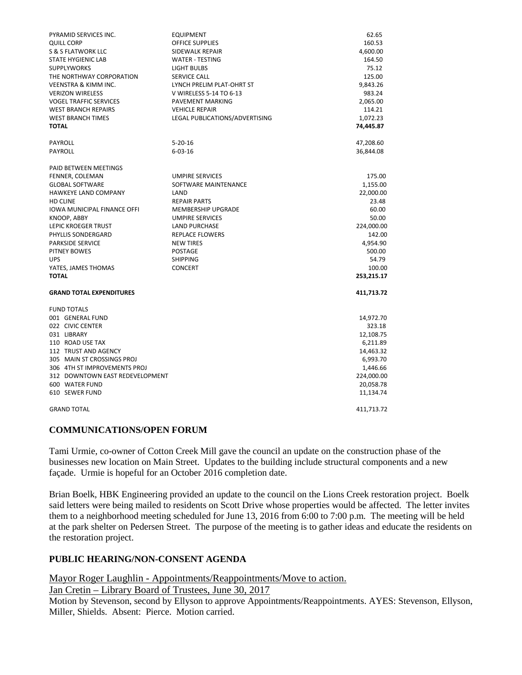| PYRAMID SERVICES INC.           | <b>EQUIPMENT</b>               | 62.65                 |
|---------------------------------|--------------------------------|-----------------------|
| <b>QUILL CORP</b>               | OFFICE SUPPLIES                | 160.53                |
| S & S FLATWORK LLC              | SIDEWALK REPAIR                | 4,600.00              |
| <b>STATE HYGIENIC LAB</b>       | <b>WATER - TESTING</b>         | 164.50                |
| <b>SUPPLYWORKS</b>              | LIGHT BULBS                    | 75.12                 |
| THE NORTHWAY CORPORATION        | SERVICE CALL                   | 125.00                |
| <b>VEENSTRA &amp; KIMM INC.</b> | LYNCH PRELIM PLAT-OHRT ST      | 9,843.26              |
| <b>VERIZON WIRELESS</b>         | V WIRELESS 5-14 TO 6-13        | 983.24                |
| <b>VOGEL TRAFFIC SERVICES</b>   | PAVEMENT MARKING               | 2,065.00              |
| <b>WEST BRANCH REPAIRS</b>      | <b>VEHICLE REPAIR</b>          | 114.21                |
| <b>WEST BRANCH TIMES</b>        | LEGAL PUBLICATIONS/ADVERTISING | 1,072.23              |
| <b>TOTAL</b>                    |                                | 74,445.87             |
| PAYROLL                         | $5 - 20 - 16$                  | 47,208.60             |
| PAYROLL                         | $6 - 03 - 16$                  | 36,844.08             |
| PAID BETWEEN MEETINGS           |                                |                       |
| FENNER, COLEMAN                 | <b>UMPIRE SERVICES</b>         | 175.00                |
| <b>GLOBAL SOFTWARE</b>          | SOFTWARE MAINTENANCE           | 1,155.00              |
| HAWKEYE LAND COMPANY            | LAND                           | 22,000.00             |
| HD CLINE                        | <b>REPAIR PARTS</b>            | 23.48                 |
| IOWA MUNICIPAL FINANCE OFFI     | MEMBERSHIP UPGRADE             | 60.00                 |
| KNOOP, ABBY                     | <b>UMPIRE SERVICES</b>         | 50.00                 |
| LEPIC KROEGER TRUST             | <b>LAND PURCHASE</b>           | 224,000.00            |
| PHYLLIS SONDERGARD              | REPLACE FLOWERS                | 142.00                |
| <b>PARKSIDE SERVICE</b>         | <b>NEW TIRES</b>               | 4,954.90              |
| PITNEY BOWES                    | POSTAGE                        | 500.00                |
| <b>UPS</b>                      | <b>SHIPPING</b>                | 54.79                 |
| YATES, JAMES THOMAS             | <b>CONCERT</b>                 | 100.00                |
| <b>TOTAL</b>                    |                                | 253,215.17            |
| <b>GRAND TOTAL EXPENDITURES</b> |                                | 411,713.72            |
| <b>FUND TOTALS</b>              |                                |                       |
| 001 GENERAL FUND                |                                | 14,972.70             |
| 022 CIVIC CENTER                |                                | 323.18                |
| 031 LIBRARY<br>110 ROAD USE TAX |                                | 12,108.75             |
| 112 TRUST AND AGENCY            |                                | 6,211.89<br>14,463.32 |
| 305 MAIN ST CROSSINGS PROJ      |                                |                       |
| 306 4TH ST IMPROVEMENTS PROJ    |                                | 6,993.70<br>1,446.66  |
| 312 DOWNTOWN EAST REDEVELOPMENT |                                | 224,000.00            |
| 600 WATER FUND                  |                                | 20,058.78             |
| 610 SEWER FUND                  |                                | 11,134.74             |
|                                 |                                |                       |
| <b>GRAND TOTAL</b>              |                                | 411,713.72            |

#### **COMMUNICATIONS/OPEN FORUM**

Tami Urmie, co-owner of Cotton Creek Mill gave the council an update on the construction phase of the businesses new location on Main Street. Updates to the building include structural components and a new façade. Urmie is hopeful for an October 2016 completion date.

Brian Boelk, HBK Engineering provided an update to the council on the Lions Creek restoration project. Boelk said letters were being mailed to residents on Scott Drive whose properties would be affected. The letter invites them to a neighborhood meeting scheduled for June 13, 2016 from 6:00 to 7:00 p.m. The meeting will be held at the park shelter on Pedersen Street. The purpose of the meeting is to gather ideas and educate the residents on the restoration project.

### **PUBLIC HEARING/NON-CONSENT AGENDA**

Mayor Roger Laughlin - Appointments/Reappointments/Move to action.

Jan Cretin – Library Board of Trustees, June 30, 2017

Motion by Stevenson, second by Ellyson to approve Appointments/Reappointments. AYES: Stevenson, Ellyson, Miller, Shields. Absent: Pierce. Motion carried.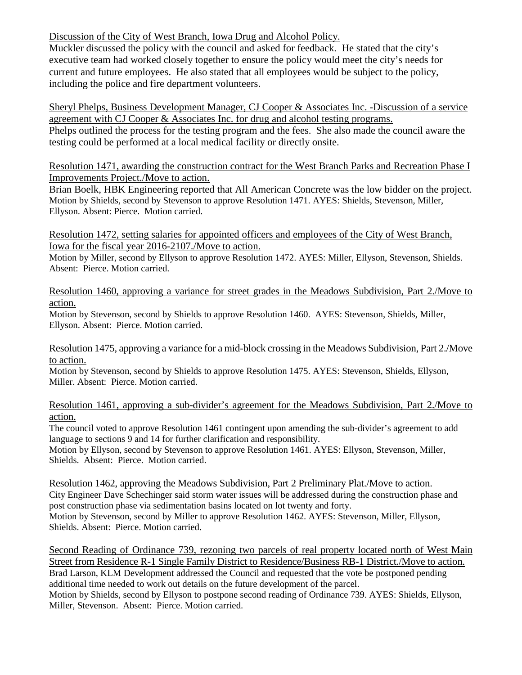Discussion of the City of West Branch, Iowa Drug and Alcohol Policy.

Muckler discussed the policy with the council and asked for feedback. He stated that the city's executive team had worked closely together to ensure the policy would meet the city's needs for current and future employees. He also stated that all employees would be subject to the policy, including the police and fire department volunteers.

Sheryl Phelps, Business Development Manager, CJ Cooper & Associates Inc. -Discussion of a service agreement with CJ Cooper & Associates Inc. for drug and alcohol testing programs.

Phelps outlined the process for the testing program and the fees. She also made the council aware the testing could be performed at a local medical facility or directly onsite.

Resolution 1471, awarding the construction contract for the West Branch Parks and Recreation Phase I Improvements Project./Move to action.

Brian Boelk, HBK Engineering reported that All American Concrete was the low bidder on the project. Motion by Shields, second by Stevenson to approve Resolution 1471. AYES: Shields, Stevenson, Miller, Ellyson. Absent: Pierce. Motion carried.

Resolution 1472, setting salaries for appointed officers and employees of the City of West Branch, Iowa for the fiscal year 2016-2107./Move to action.

Motion by Miller, second by Ellyson to approve Resolution 1472. AYES: Miller, Ellyson, Stevenson, Shields. Absent: Pierce. Motion carried.

Resolution 1460, approving a variance for street grades in the Meadows Subdivision, Part 2./Move to action.

Motion by Stevenson, second by Shields to approve Resolution 1460. AYES: Stevenson, Shields, Miller, Ellyson. Absent: Pierce. Motion carried.

Resolution 1475, approving a variance for a mid-block crossing in the Meadows Subdivision, Part 2./Move to action.

Motion by Stevenson, second by Shields to approve Resolution 1475. AYES: Stevenson, Shields, Ellyson, Miller. Absent: Pierce. Motion carried.

Resolution 1461, approving a sub-divider's agreement for the Meadows Subdivision, Part 2./Move to action.

The council voted to approve Resolution 1461 contingent upon amending the sub-divider's agreement to add language to sections 9 and 14 for further clarification and responsibility.

Motion by Ellyson, second by Stevenson to approve Resolution 1461. AYES: Ellyson, Stevenson, Miller, Shields. Absent: Pierce. Motion carried.

Resolution 1462, approving the Meadows Subdivision, Part 2 Preliminary Plat./Move to action. City Engineer Dave Schechinger said storm water issues will be addressed during the construction phase and post construction phase via sedimentation basins located on lot twenty and forty. Motion by Stevenson, second by Miller to approve Resolution 1462. AYES: Stevenson, Miller, Ellyson, Shields. Absent: Pierce. Motion carried.

Second Reading of Ordinance 739, rezoning two parcels of real property located north of West Main Street from Residence R-1 Single Family District to Residence/Business RB-1 District./Move to action. Brad Larson, KLM Development addressed the Council and requested that the vote be postponed pending additional time needed to work out details on the future development of the parcel. Motion by Shields, second by Ellyson to postpone second reading of Ordinance 739. AYES: Shields, Ellyson, Miller, Stevenson. Absent: Pierce. Motion carried.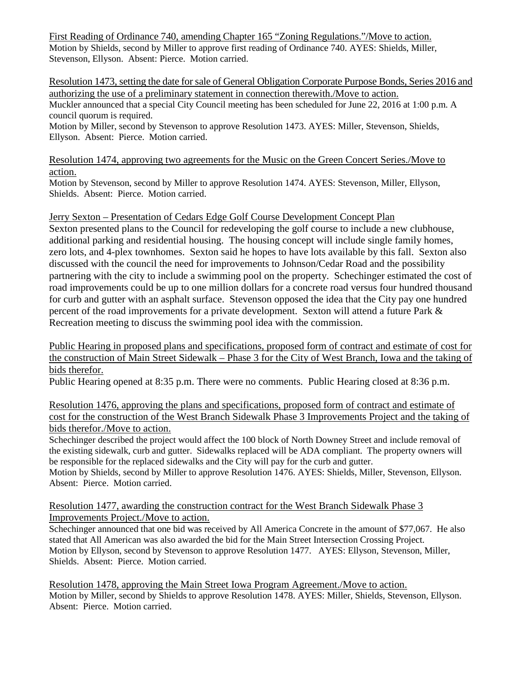First Reading of Ordinance 740, amending Chapter 165 "Zoning Regulations."/Move to action. Motion by Shields, second by Miller to approve first reading of Ordinance 740. AYES: Shields, Miller, Stevenson, Ellyson. Absent: Pierce. Motion carried.

Resolution 1473, setting the date for sale of General Obligation Corporate Purpose Bonds, Series 2016 and authorizing the use of a preliminary statement in connection therewith./Move to action. Muckler announced that a special City Council meeting has been scheduled for June 22, 2016 at 1:00 p.m. A council quorum is required.

Motion by Miller, second by Stevenson to approve Resolution 1473. AYES: Miller, Stevenson, Shields, Ellyson. Absent: Pierce. Motion carried.

Resolution 1474, approving two agreements for the Music on the Green Concert Series./Move to action.

Motion by Stevenson, second by Miller to approve Resolution 1474. AYES: Stevenson, Miller, Ellyson, Shields. Absent: Pierce. Motion carried.

Jerry Sexton – Presentation of Cedars Edge Golf Course Development Concept Plan

Sexton presented plans to the Council for redeveloping the golf course to include a new clubhouse, additional parking and residential housing. The housing concept will include single family homes, zero lots, and 4-plex townhomes. Sexton said he hopes to have lots available by this fall. Sexton also discussed with the council the need for improvements to Johnson/Cedar Road and the possibility partnering with the city to include a swimming pool on the property. Schechinger estimated the cost of road improvements could be up to one million dollars for a concrete road versus four hundred thousand for curb and gutter with an asphalt surface. Stevenson opposed the idea that the City pay one hundred percent of the road improvements for a private development. Sexton will attend a future Park & Recreation meeting to discuss the swimming pool idea with the commission.

Public Hearing in proposed plans and specifications, proposed form of contract and estimate of cost for the construction of Main Street Sidewalk – Phase 3 for the City of West Branch, Iowa and the taking of bids therefor.

Public Hearing opened at 8:35 p.m. There were no comments. Public Hearing closed at 8:36 p.m.

Resolution 1476, approving the plans and specifications, proposed form of contract and estimate of cost for the construction of the West Branch Sidewalk Phase 3 Improvements Project and the taking of bids therefor./Move to action.

Schechinger described the project would affect the 100 block of North Downey Street and include removal of the existing sidewalk, curb and gutter. Sidewalks replaced will be ADA compliant. The property owners will be responsible for the replaced sidewalks and the City will pay for the curb and gutter.

Motion by Shields, second by Miller to approve Resolution 1476. AYES: Shields, Miller, Stevenson, Ellyson. Absent: Pierce. Motion carried.

Resolution 1477, awarding the construction contract for the West Branch Sidewalk Phase 3 Improvements Project./Move to action.

Schechinger announced that one bid was received by All America Concrete in the amount of \$77,067. He also stated that All American was also awarded the bid for the Main Street Intersection Crossing Project. Motion by Ellyson, second by Stevenson to approve Resolution 1477. AYES: Ellyson, Stevenson, Miller, Shields. Absent: Pierce. Motion carried.

Resolution 1478, approving the Main Street Iowa Program Agreement./Move to action. Motion by Miller, second by Shields to approve Resolution 1478. AYES: Miller, Shields, Stevenson, Ellyson. Absent: Pierce. Motion carried.